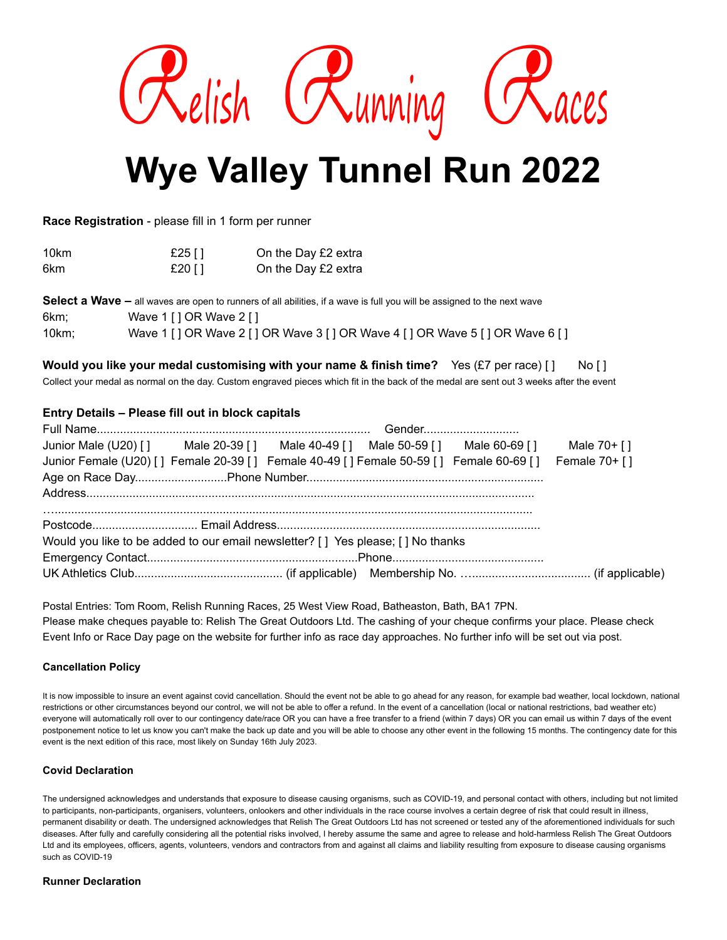

# **Wye Valley Tunnel Run 2022**

**Race Registration** - please fill in 1 form per runner

| 10km | £25 $\lceil \cdot \rceil$ | On the Day £2 extra |
|------|---------------------------|---------------------|
| 6km  | £20 [ ]                   | On the Day £2 extra |

|       | <b>Select a Wave –</b> all waves are open to runners of all abilities, if a wave is full you will be assigned to the next wave |
|-------|--------------------------------------------------------------------------------------------------------------------------------|
| 6km:  | Wave 1 [ ] OR Wave 2 [ ]                                                                                                       |
| 10km: | Wave 1 [ ] OR Wave 2 [ ] OR Wave 3 [ ] OR Wave 4 [ ] OR Wave 5 [ ] OR Wave 6 [ ]                                               |

## **Would you like your medal customising with your name & finish time?** Yes (£7 per race) [ ] No [ ]

Collect your medal as normal on the day. Custom engraved pieces which fit in the back of the medal are sent out 3 weeks after the event

### **Entry Details – Please fill out in block capitals**

| Junior Male (U20) [] Male 20-39 [] Male 40-49 [] Male 50-59 [] Male 60-69 [] Male 70+ []             |  |  |  |  |  |  |  |
|------------------------------------------------------------------------------------------------------|--|--|--|--|--|--|--|
| Junior Female (U20) [] Female 20-39 [] Female 40-49 [] Female 50-59 [] Female 60-69 [] Female 70+ [] |  |  |  |  |  |  |  |
|                                                                                                      |  |  |  |  |  |  |  |
|                                                                                                      |  |  |  |  |  |  |  |
|                                                                                                      |  |  |  |  |  |  |  |
| Would you like to be added to our email newsletter? [ ] Yes please; [ ] No thanks                    |  |  |  |  |  |  |  |
|                                                                                                      |  |  |  |  |  |  |  |
|                                                                                                      |  |  |  |  |  |  |  |

Postal Entries: Tom Room, Relish Running Races, 25 West View Road, Batheaston, Bath, BA1 7PN. Please make cheques payable to: Relish The Great Outdoors Ltd. The cashing of your cheque confirms your place. Please check Event Info or Race Day page on the website for further info as race day approaches. No further info will be set out via post.

#### **Cancellation Policy**

It is now impossible to insure an event against covid cancellation. Should the event not be able to go ahead for any reason, for example bad weather, local lockdown, national restrictions or other circumstances beyond our control, we will not be able to offer a refund. In the event of a cancellation (local or national restrictions, bad weather etc) everyone will automatically roll over to our contingency date/race OR you can have a free transfer to a friend (within 7 days) OR you can email us within 7 days of the event postponement notice to let us know you can't make the back up date and you will be able to choose any other event in the following 15 months. The contingency date for this event is the next edition of this race, most likely on Sunday 16th July 2023.

#### **Covid Declaration**

The undersigned acknowledges and understands that exposure to disease causing organisms, such as COVID-19, and personal contact with others, including but not limited to participants, non-participants, organisers, volunteers, onlookers and other individuals in the race course involves a certain degree of risk that could result in illness, permanent disability or death. The undersigned acknowledges that Relish The Great Outdoors Ltd has not screened or tested any of the aforementioned individuals for such diseases. After fully and carefully considering all the potential risks involved, I hereby assume the same and agree to release and hold-harmless Relish The Great Outdoors Ltd and its employees, officers, agents, volunteers, vendors and contractors from and against all claims and liability resulting from exposure to disease causing organisms such as COVID-19

#### **Runner Declaration**